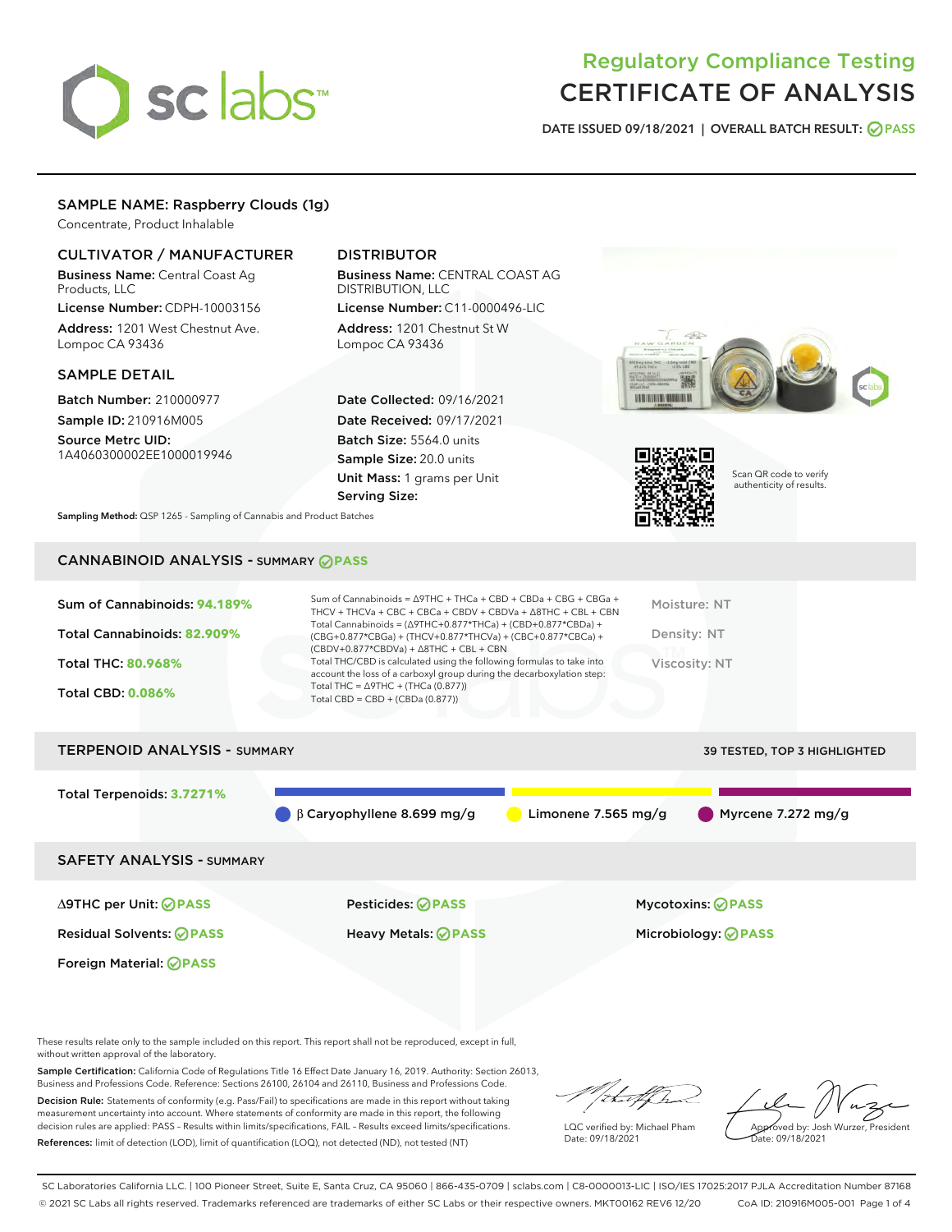# sclabs<sup>\*</sup>

## Regulatory Compliance Testing CERTIFICATE OF ANALYSIS

DATE ISSUED 09/18/2021 | OVERALL BATCH RESULT: @ PASS

#### SAMPLE NAME: Raspberry Clouds (1g)

Concentrate, Product Inhalable

#### CULTIVATOR / MANUFACTURER

Business Name: Central Coast Ag Products, LLC

License Number: CDPH-10003156 Address: 1201 West Chestnut Ave. Lompoc CA 93436

#### SAMPLE DETAIL

Batch Number: 210000977 Sample ID: 210916M005

Source Metrc UID: 1A4060300002EE1000019946

#### DISTRIBUTOR

Business Name: CENTRAL COAST AG DISTRIBUTION, LLC License Number: C11-0000496-LIC

Address: 1201 Chestnut St W Lompoc CA 93436

Date Collected: 09/16/2021 Date Received: 09/17/2021 Batch Size: 5564.0 units Sample Size: 20.0 units Unit Mass: 1 grams per Unit Serving Size:

Sampling Method: QSP 1265 - Sampling of Cannabis and Product Batches

### CANNABINOID ANALYSIS - SUMMARY **PASS**





Scan QR code to verify authenticity of results.

| Sum of Cannabinoids: 94.189%        | $SU(2)$ annapinoids = $VY \cup W + LY$ . A + U DU + U DU + U DU + U DU + U DU + V<br>THCV + THCVa + CBC + CBCa + CBDV + CBDVa + $\Delta$ 8THC + CBL + CBN                              | Moisture: NT                        |
|-------------------------------------|----------------------------------------------------------------------------------------------------------------------------------------------------------------------------------------|-------------------------------------|
| Total Cannabinoids: 82.909%         | Total Cannabinoids = $(\Delta$ 9THC+0.877*THCa) + (CBD+0.877*CBDa) +<br>$(CBG+0.877*CBGa) + (THCV+0.877*THCVa) + (CBC+0.877*CBCa) +$<br>$(CBDV+0.877*CBDVa) + \Delta 8THC + CBL + CBN$ | Density: NT                         |
| <b>Total THC: 80.968%</b>           | Total THC/CBD is calculated using the following formulas to take into<br>account the loss of a carboxyl group during the decarboxylation step:                                         | Viscosity: NT                       |
| <b>Total CBD: 0.086%</b>            | Total THC = $\triangle$ 9THC + (THCa (0.877))<br>Total CBD = $CBD + (CBDa (0.877))$                                                                                                    |                                     |
| <b>TERPENOID ANALYSIS - SUMMARY</b> |                                                                                                                                                                                        | <b>39 TESTED, TOP 3 HIGHLIGHTED</b> |
|                                     |                                                                                                                                                                                        |                                     |
| Total Terpenoids: 3.7271%           | $\beta$ Caryophyllene 8.699 mg/g<br>Limonene 7.565 mg/g                                                                                                                                | Myrcene 7.272 mg/g                  |
|                                     |                                                                                                                                                                                        |                                     |

 $S = \frac{1}{2}$  of Cannabinoids =  $\frac{\Delta T}{T}$   $\Delta T$  +  $\frac{\Delta T}{T}$ 

SAFETY ANALYSIS - SUMMARY

∆9THC per Unit: **PASS** Pesticides: **PASS** Mycotoxins: **PASS**

Foreign Material: **PASS**

Residual Solvents: **PASS** Heavy Metals: **PASS** Microbiology: **PASS**

These results relate only to the sample included on this report. This report shall not be reproduced, except in full, without written approval of the laboratory.

Sample Certification: California Code of Regulations Title 16 Effect Date January 16, 2019. Authority: Section 26013, Business and Professions Code. Reference: Sections 26100, 26104 and 26110, Business and Professions Code.

Decision Rule: Statements of conformity (e.g. Pass/Fail) to specifications are made in this report without taking measurement uncertainty into account. Where statements of conformity are made in this report, the following decision rules are applied: PASS – Results within limits/specifications, FAIL – Results exceed limits/specifications. References: limit of detection (LOD), limit of quantification (LOQ), not detected (ND), not tested (NT)

that fCh

LQC verified by: Michael Pham Date: 09/18/2021

Approved by: Josh Wurzer, President Date: 09/18/2021

SC Laboratories California LLC. | 100 Pioneer Street, Suite E, Santa Cruz, CA 95060 | 866-435-0709 | sclabs.com | C8-0000013-LIC | ISO/IES 17025:2017 PJLA Accreditation Number 87168 © 2021 SC Labs all rights reserved. Trademarks referenced are trademarks of either SC Labs or their respective owners. MKT00162 REV6 12/20 CoA ID: 210916M005-001 Page 1 of 4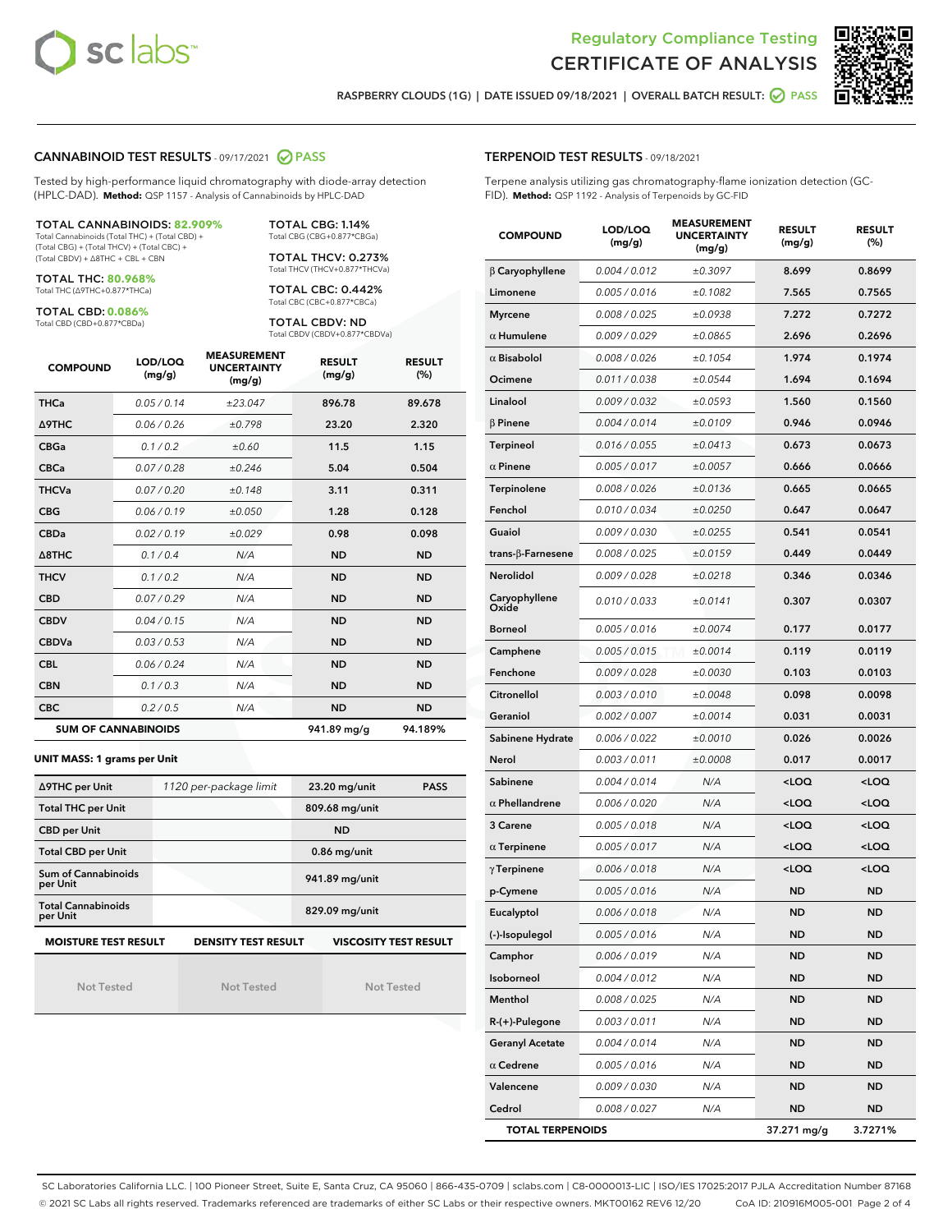



RASPBERRY CLOUDS (1G) | DATE ISSUED 09/18/2021 | OVERALL BATCH RESULT: @ PASS

#### CANNABINOID TEST RESULTS - 09/17/2021 2 PASS

Tested by high-performance liquid chromatography with diode-array detection (HPLC-DAD). **Method:** QSP 1157 - Analysis of Cannabinoids by HPLC-DAD

#### TOTAL CANNABINOIDS: **82.909%**

Total Cannabinoids (Total THC) + (Total CBD) + (Total CBG) + (Total THCV) + (Total CBC) + (Total CBDV) + ∆8THC + CBL + CBN

TOTAL THC: **80.968%** Total THC (∆9THC+0.877\*THCa)

TOTAL CBD: **0.086%**

Total CBD (CBD+0.877\*CBDa)

TOTAL CBG: 1.14% Total CBG (CBG+0.877\*CBGa)

TOTAL THCV: 0.273% Total THCV (THCV+0.877\*THCVa)

TOTAL CBC: 0.442% Total CBC (CBC+0.877\*CBCa)

TOTAL CBDV: ND Total CBDV (CBDV+0.877\*CBDVa)

| <b>COMPOUND</b> | LOD/LOQ<br>(mg/g)          | <b>MEASUREMENT</b><br><b>UNCERTAINTY</b><br>(mg/g) | <b>RESULT</b><br>(mg/g) | <b>RESULT</b><br>(%) |
|-----------------|----------------------------|----------------------------------------------------|-------------------------|----------------------|
| <b>THCa</b>     | 0.05/0.14                  | ±23.047                                            | 896.78                  | 89.678               |
| <b>A9THC</b>    | 0.06 / 0.26                | ±0.798                                             | 23.20                   | 2.320                |
| <b>CBGa</b>     | 0.1 / 0.2                  | ±0.60                                              | 11.5                    | 1.15                 |
| <b>CBCa</b>     | 0.07/0.28                  | ±0.246                                             | 5.04                    | 0.504                |
| <b>THCVa</b>    | 0.07/0.20                  | ±0.148                                             | 3.11                    | 0.311                |
| <b>CBG</b>      | 0.06/0.19                  | ±0.050                                             | 1.28                    | 0.128                |
| <b>CBDa</b>     | 0.02/0.19                  | ±0.029                                             | 0.98                    | 0.098                |
| A8THC           | 0.1/0.4                    | N/A                                                | <b>ND</b>               | <b>ND</b>            |
| <b>THCV</b>     | 0.1/0.2                    | N/A                                                | <b>ND</b>               | <b>ND</b>            |
| <b>CBD</b>      | 0.07/0.29                  | N/A                                                | <b>ND</b>               | <b>ND</b>            |
| <b>CBDV</b>     | 0.04 / 0.15                | N/A                                                | <b>ND</b>               | <b>ND</b>            |
| <b>CBDVa</b>    | 0.03/0.53                  | N/A                                                | <b>ND</b>               | <b>ND</b>            |
| <b>CBL</b>      | 0.06 / 0.24                | N/A                                                | <b>ND</b>               | <b>ND</b>            |
| <b>CBN</b>      | 0.1/0.3                    | N/A                                                | <b>ND</b>               | <b>ND</b>            |
| <b>CBC</b>      | 0.2 / 0.5                  | N/A                                                | <b>ND</b>               | <b>ND</b>            |
|                 | <b>SUM OF CANNABINOIDS</b> |                                                    | 941.89 mg/g             | 94.189%              |

#### **UNIT MASS: 1 grams per Unit**

| ∆9THC per Unit                        | 1120 per-package limit     | 23.20 mg/unit<br><b>PASS</b> |
|---------------------------------------|----------------------------|------------------------------|
| <b>Total THC per Unit</b>             |                            | 809.68 mg/unit               |
| <b>CBD per Unit</b>                   |                            | <b>ND</b>                    |
| <b>Total CBD per Unit</b>             |                            | $0.86$ mg/unit               |
| Sum of Cannabinoids<br>per Unit       |                            | 941.89 mg/unit               |
| <b>Total Cannabinoids</b><br>per Unit |                            | 829.09 mg/unit               |
| <b>MOISTURE TEST RESULT</b>           | <b>DENSITY TEST RESULT</b> | <b>VISCOSITY TEST RESULT</b> |

Not Tested

Not Tested

Not Tested

#### TERPENOID TEST RESULTS - 09/18/2021

Terpene analysis utilizing gas chromatography-flame ionization detection (GC-FID). **Method:** QSP 1192 - Analysis of Terpenoids by GC-FID

| <b>COMPOUND</b>         | LOD/LOQ<br>(mg/g) | <b>MEASUREMENT</b><br><b>UNCERTAINTY</b><br>(mg/g) | <b>RESULT</b><br>(mg/g)                         | <b>RESULT</b><br>$(\%)$ |
|-------------------------|-------------------|----------------------------------------------------|-------------------------------------------------|-------------------------|
| $\beta$ Caryophyllene   | 0.004 / 0.012     | ±0.3097                                            | 8.699                                           | 0.8699                  |
| Limonene                | 0.005 / 0.016     | ±0.1082                                            | 7.565                                           | 0.7565                  |
| <b>Myrcene</b>          | 0.008 / 0.025     | ±0.0938                                            | 7.272                                           | 0.7272                  |
| $\alpha$ Humulene       | 0.009 / 0.029     | ±0.0865                                            | 2.696                                           | 0.2696                  |
| $\alpha$ Bisabolol      | 0.008 / 0.026     | ±0.1054                                            | 1.974                                           | 0.1974                  |
| Ocimene                 | 0.011 / 0.038     | ±0.0544                                            | 1.694                                           | 0.1694                  |
| Linalool                | 0.009 / 0.032     | ±0.0593                                            | 1.560                                           | 0.1560                  |
| $\beta$ Pinene          | 0.004 / 0.014     | ±0.0109                                            | 0.946                                           | 0.0946                  |
| Terpineol               | 0.016 / 0.055     | ±0.0413                                            | 0.673                                           | 0.0673                  |
| $\alpha$ Pinene         | 0.005 / 0.017     | ±0.0057                                            | 0.666                                           | 0.0666                  |
| Terpinolene             | 0.008 / 0.026     | ±0.0136                                            | 0.665                                           | 0.0665                  |
| Fenchol                 | 0.010 / 0.034     | ±0.0250                                            | 0.647                                           | 0.0647                  |
| Guaiol                  | 0.009 / 0.030     | ±0.0255                                            | 0.541                                           | 0.0541                  |
| trans-ß-Farnesene       | 0.008 / 0.025     | ±0.0159                                            | 0.449                                           | 0.0449                  |
| Nerolidol               | 0.009 / 0.028     | ±0.0218                                            | 0.346                                           | 0.0346                  |
| Caryophyllene<br>Oxide  | 0.010 / 0.033     | ±0.0141                                            | 0.307                                           | 0.0307                  |
| <b>Borneol</b>          | 0.005 / 0.016     | ±0.0074                                            | 0.177                                           | 0.0177                  |
| Camphene                | 0.005 / 0.015     | ±0.0014                                            | 0.119                                           | 0.0119                  |
| Fenchone                | 0.009 / 0.028     | ±0.0030                                            | 0.103                                           | 0.0103                  |
| Citronellol             | 0.003 / 0.010     | ±0.0048                                            | 0.098                                           | 0.0098                  |
| Geraniol                | 0.002 / 0.007     | ±0.0014                                            | 0.031                                           | 0.0031                  |
| Sabinene Hydrate        | 0.006 / 0.022     | ±0.0010                                            | 0.026                                           | 0.0026                  |
| Nerol                   | 0.003 / 0.011     | ±0.0008                                            | 0.017                                           | 0.0017                  |
| Sabinene                | 0.004 / 0.014     | N/A                                                | <loq< th=""><th><loq< th=""></loq<></th></loq<> | <loq< th=""></loq<>     |
| $\alpha$ Phellandrene   | 0.006 / 0.020     | N/A                                                | <loq< th=""><th><loq< th=""></loq<></th></loq<> | <loq< th=""></loq<>     |
| 3 Carene                | 0.005 / 0.018     | N/A                                                | <loq< th=""><th><loq< th=""></loq<></th></loq<> | <loq< th=""></loq<>     |
| $\alpha$ Terpinene      | 0.005 / 0.017     | N/A                                                | <loq< th=""><th><loq< th=""></loq<></th></loq<> | <loq< th=""></loq<>     |
| $\gamma$ Terpinene      | 0.006 / 0.018     | N/A                                                | <loq< th=""><th><loq< th=""></loq<></th></loq<> | <loq< th=""></loq<>     |
| p-Cymene                | 0.005 / 0.016     | N/A                                                | ND                                              | <b>ND</b>               |
| Eucalyptol              | 0.006 / 0.018     | N/A                                                | <b>ND</b>                                       | <b>ND</b>               |
| (-)-Isopulegol          | 0.005 / 0.016     | N/A                                                | ND                                              | ND                      |
| Camphor                 | 0.006 / 0.019     | N/A                                                | ND                                              | ND                      |
| Isoborneol              | 0.004 / 0.012     | N/A                                                | ND                                              | ND                      |
| Menthol                 | 0.008 / 0.025     | N/A                                                | ND                                              | ND                      |
| R-(+)-Pulegone          | 0.003 / 0.011     | N/A                                                | ND                                              | ND                      |
| <b>Geranyl Acetate</b>  | 0.004 / 0.014     | N/A                                                | ND                                              | ND                      |
| $\alpha$ Cedrene        | 0.005 / 0.016     | N/A                                                | ND                                              | ND                      |
| Valencene               | 0.009 / 0.030     | N/A                                                | ND                                              | ND                      |
| Cedrol                  | 0.008 / 0.027     | N/A                                                | ND                                              | <b>ND</b>               |
| <b>TOTAL TERPENOIDS</b> |                   |                                                    | 37.271 mg/g                                     | 3.7271%                 |

SC Laboratories California LLC. | 100 Pioneer Street, Suite E, Santa Cruz, CA 95060 | 866-435-0709 | sclabs.com | C8-0000013-LIC | ISO/IES 17025:2017 PJLA Accreditation Number 87168 © 2021 SC Labs all rights reserved. Trademarks referenced are trademarks of either SC Labs or their respective owners. MKT00162 REV6 12/20 CoA ID: 210916M005-001 Page 2 of 4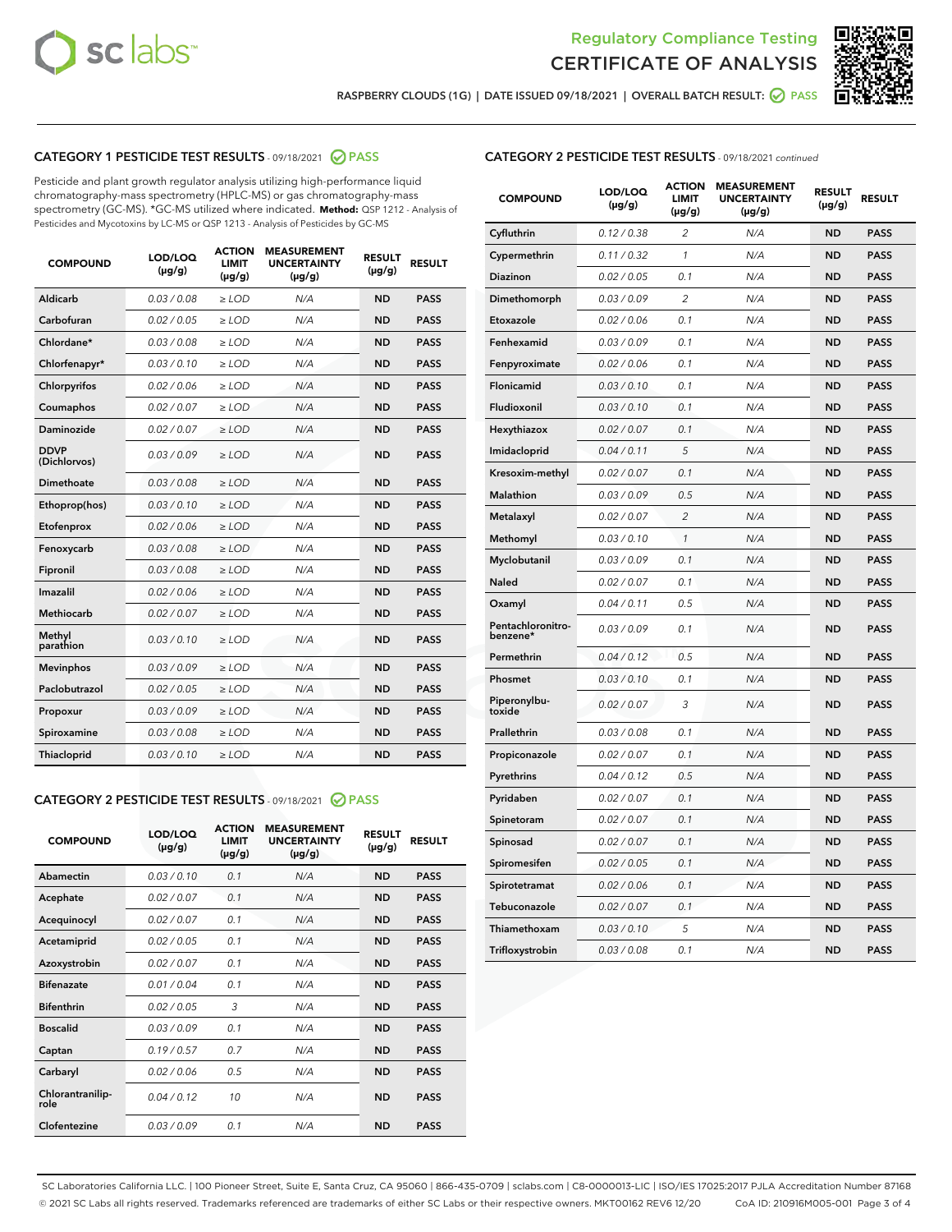



RASPBERRY CLOUDS (1G) | DATE ISSUED 09/18/2021 | OVERALL BATCH RESULT: @ PASS

#### CATEGORY 1 PESTICIDE TEST RESULTS - 09/18/2021 @ PASS

Pesticide and plant growth regulator analysis utilizing high-performance liquid chromatography-mass spectrometry (HPLC-MS) or gas chromatography-mass spectrometry (GC-MS). \*GC-MS utilized where indicated. **Method:** QSP 1212 - Analysis of Pesticides and Mycotoxins by LC-MS or QSP 1213 - Analysis of Pesticides by GC-MS

| <b>COMPOUND</b>             | LOD/LOQ<br>$(\mu g/g)$ | <b>ACTION</b><br><b>LIMIT</b><br>$(\mu g/g)$ | <b>MEASUREMENT</b><br><b>UNCERTAINTY</b><br>$(\mu g/g)$ | <b>RESULT</b><br>$(\mu g/g)$ | <b>RESULT</b> |
|-----------------------------|------------------------|----------------------------------------------|---------------------------------------------------------|------------------------------|---------------|
| Aldicarb                    | 0.03 / 0.08            | $\ge$ LOD                                    | N/A                                                     | <b>ND</b>                    | <b>PASS</b>   |
| Carbofuran                  | 0.02/0.05              | $>$ LOD                                      | N/A                                                     | <b>ND</b>                    | <b>PASS</b>   |
| Chlordane*                  | 0.03 / 0.08            | $\geq$ LOD                                   | N/A                                                     | <b>ND</b>                    | <b>PASS</b>   |
| Chlorfenapyr*               | 0.03/0.10              | $\geq$ LOD                                   | N/A                                                     | <b>ND</b>                    | <b>PASS</b>   |
| Chlorpyrifos                | 0.02 / 0.06            | $\ge$ LOD                                    | N/A                                                     | <b>ND</b>                    | <b>PASS</b>   |
| Coumaphos                   | 0.02 / 0.07            | $\ge$ LOD                                    | N/A                                                     | <b>ND</b>                    | <b>PASS</b>   |
| Daminozide                  | 0.02/0.07              | $>$ LOD                                      | N/A                                                     | <b>ND</b>                    | <b>PASS</b>   |
| <b>DDVP</b><br>(Dichlorvos) | 0.03/0.09              | $\ge$ LOD                                    | N/A                                                     | <b>ND</b>                    | <b>PASS</b>   |
| Dimethoate                  | 0.03 / 0.08            | $\ge$ LOD                                    | N/A                                                     | <b>ND</b>                    | <b>PASS</b>   |
| Ethoprop(hos)               | 0.03/0.10              | $>$ LOD                                      | N/A                                                     | <b>ND</b>                    | <b>PASS</b>   |
| Etofenprox                  | 0.02 / 0.06            | $\ge$ LOD                                    | N/A                                                     | <b>ND</b>                    | <b>PASS</b>   |
| Fenoxycarb                  | 0.03 / 0.08            | $\ge$ LOD                                    | N/A                                                     | <b>ND</b>                    | <b>PASS</b>   |
| Fipronil                    | 0.03/0.08              | $\ge$ LOD                                    | N/A                                                     | <b>ND</b>                    | <b>PASS</b>   |
| Imazalil                    | 0.02 / 0.06            | $\ge$ LOD                                    | N/A                                                     | <b>ND</b>                    | <b>PASS</b>   |
| <b>Methiocarb</b>           | 0.02 / 0.07            | $\ge$ LOD                                    | N/A                                                     | <b>ND</b>                    | <b>PASS</b>   |
| Methyl<br>parathion         | 0.03/0.10              | $\ge$ LOD                                    | N/A                                                     | <b>ND</b>                    | <b>PASS</b>   |
| <b>Mevinphos</b>            | 0.03/0.09              | $>$ LOD                                      | N/A                                                     | <b>ND</b>                    | <b>PASS</b>   |
| Paclobutrazol               | 0.02 / 0.05            | $\ge$ LOD                                    | N/A                                                     | <b>ND</b>                    | <b>PASS</b>   |
| Propoxur                    | 0.03/0.09              | $\ge$ LOD                                    | N/A                                                     | <b>ND</b>                    | <b>PASS</b>   |
| Spiroxamine                 | 0.03/0.08              | $\ge$ LOD                                    | N/A                                                     | <b>ND</b>                    | <b>PASS</b>   |
| Thiacloprid                 | 0.03/0.10              | $\ge$ LOD                                    | N/A                                                     | <b>ND</b>                    | <b>PASS</b>   |

#### CATEGORY 2 PESTICIDE TEST RESULTS - 09/18/2021 @ PASS

| <b>COMPOUND</b>          | LOD/LOQ<br>$(\mu g/g)$ | <b>ACTION</b><br><b>LIMIT</b><br>$(\mu g/g)$ | <b>MEASUREMENT</b><br><b>UNCERTAINTY</b><br>$(\mu g/g)$ | <b>RESULT</b><br>$(\mu g/g)$ | <b>RESULT</b> |
|--------------------------|------------------------|----------------------------------------------|---------------------------------------------------------|------------------------------|---------------|
| Abamectin                | 0.03/0.10              | 0.1                                          | N/A                                                     | <b>ND</b>                    | <b>PASS</b>   |
| Acephate                 | 0.02/0.07              | 0.1                                          | N/A                                                     | <b>ND</b>                    | <b>PASS</b>   |
| Acequinocyl              | 0.02/0.07              | 0.1                                          | N/A                                                     | <b>ND</b>                    | <b>PASS</b>   |
| Acetamiprid              | 0.02/0.05              | 0.1                                          | N/A                                                     | <b>ND</b>                    | <b>PASS</b>   |
| Azoxystrobin             | 0 02 / 0 07            | 0.1                                          | N/A                                                     | <b>ND</b>                    | <b>PASS</b>   |
| <b>Bifenazate</b>        | 0.01/0.04              | 0.1                                          | N/A                                                     | <b>ND</b>                    | <b>PASS</b>   |
| <b>Bifenthrin</b>        | 0.02/0.05              | 3                                            | N/A                                                     | <b>ND</b>                    | <b>PASS</b>   |
| <b>Boscalid</b>          | 0.03/0.09              | 0.1                                          | N/A                                                     | <b>ND</b>                    | <b>PASS</b>   |
| Captan                   | 0.19/0.57              | 0.7                                          | N/A                                                     | <b>ND</b>                    | <b>PASS</b>   |
| Carbaryl                 | 0.02/0.06              | 0.5                                          | N/A                                                     | <b>ND</b>                    | <b>PASS</b>   |
| Chlorantranilip-<br>role | 0.04/0.12              | 10                                           | N/A                                                     | <b>ND</b>                    | <b>PASS</b>   |
| Clofentezine             | 0.03/0.09              | 0.1                                          | N/A                                                     | <b>ND</b>                    | <b>PASS</b>   |

#### CATEGORY 2 PESTICIDE TEST RESULTS - 09/18/2021 continued

| <b>COMPOUND</b>               | LOD/LOQ<br>(µg/g) | <b>ACTION</b><br><b>LIMIT</b><br>$(\mu g/g)$ | <b>MEASUREMENT</b><br><b>UNCERTAINTY</b><br>(µg/g) | <b>RESULT</b><br>(µg/g) | <b>RESULT</b> |
|-------------------------------|-------------------|----------------------------------------------|----------------------------------------------------|-------------------------|---------------|
| Cyfluthrin                    | 0.12 / 0.38       | $\overline{c}$                               | N/A                                                | ND                      | <b>PASS</b>   |
| Cypermethrin                  | 0.11 / 0.32       | $\mathcal{I}$                                | N/A                                                | ND                      | <b>PASS</b>   |
| Diazinon                      | 0.02 / 0.05       | 0.1                                          | N/A                                                | <b>ND</b>               | <b>PASS</b>   |
| Dimethomorph                  | 0.03 / 0.09       | 2                                            | N/A                                                | ND                      | <b>PASS</b>   |
| Etoxazole                     | 0.02 / 0.06       | 0.1                                          | N/A                                                | ND                      | <b>PASS</b>   |
| Fenhexamid                    | 0.03 / 0.09       | 0.1                                          | N/A                                                | <b>ND</b>               | <b>PASS</b>   |
| Fenpyroximate                 | 0.02 / 0.06       | 0.1                                          | N/A                                                | ND                      | <b>PASS</b>   |
| Flonicamid                    | 0.03 / 0.10       | 0.1                                          | N/A                                                | ND                      | <b>PASS</b>   |
| Fludioxonil                   | 0.03 / 0.10       | 0.1                                          | N/A                                                | <b>ND</b>               | <b>PASS</b>   |
| Hexythiazox                   | 0.02 / 0.07       | 0.1                                          | N/A                                                | ND                      | <b>PASS</b>   |
| Imidacloprid                  | 0.04 / 0.11       | 5                                            | N/A                                                | ND                      | <b>PASS</b>   |
| Kresoxim-methyl               | 0.02 / 0.07       | 0.1                                          | N/A                                                | <b>ND</b>               | <b>PASS</b>   |
| Malathion                     | 0.03 / 0.09       | 0.5                                          | N/A                                                | ND                      | <b>PASS</b>   |
| Metalaxyl                     | 0.02 / 0.07       | $\overline{c}$                               | N/A                                                | ND                      | <b>PASS</b>   |
| Methomyl                      | 0.03 / 0.10       | $\mathbf{1}$                                 | N/A                                                | <b>ND</b>               | <b>PASS</b>   |
| Myclobutanil                  | 0.03 / 0.09       | 0.1                                          | N/A                                                | ND                      | <b>PASS</b>   |
| Naled                         | 0.02 / 0.07       | 0.1                                          | N/A                                                | ND                      | <b>PASS</b>   |
| Oxamyl                        | 0.04 / 0.11       | 0.5                                          | N/A                                                | ND                      | <b>PASS</b>   |
| Pentachloronitro-<br>benzene* | 0.03 / 0.09       | 0.1                                          | N/A                                                | ND                      | <b>PASS</b>   |
| Permethrin                    | 0.04 / 0.12       | 0.5                                          | N/A                                                | <b>ND</b>               | <b>PASS</b>   |
| Phosmet                       | 0.03 / 0.10       | 0.1                                          | N/A                                                | ND                      | <b>PASS</b>   |
| Piperonylbu-<br>toxide        | 0.02 / 0.07       | 3                                            | N/A                                                | ND                      | <b>PASS</b>   |
| Prallethrin                   | 0.03 / 0.08       | 0.1                                          | N/A                                                | ND                      | <b>PASS</b>   |
| Propiconazole                 | 0.02 / 0.07       | 0.1                                          | N/A                                                | ND                      | <b>PASS</b>   |
| Pyrethrins                    | 0.04 / 0.12       | 0.5                                          | N/A                                                | <b>ND</b>               | <b>PASS</b>   |
| Pyridaben                     | 0.02 / 0.07       | 0.1                                          | N/A                                                | ND                      | <b>PASS</b>   |
| Spinetoram                    | 0.02 / 0.07       | 0.1                                          | N/A                                                | ND                      | PASS          |
| Spinosad                      | 0.02 / 0.07       | 0.1                                          | N/A                                                | <b>ND</b>               | <b>PASS</b>   |
| Spiromesifen                  | 0.02 / 0.05       | 0.1                                          | N/A                                                | ND                      | <b>PASS</b>   |
| Spirotetramat                 | 0.02 / 0.06       | 0.1                                          | N/A                                                | ND                      | <b>PASS</b>   |
| Tebuconazole                  | 0.02 / 0.07       | 0.1                                          | N/A                                                | ND                      | <b>PASS</b>   |
| Thiamethoxam                  | 0.03 / 0.10       | 5                                            | N/A                                                | ND                      | <b>PASS</b>   |
| Trifloxystrobin               | 0.03 / 0.08       | 0.1                                          | N/A                                                | <b>ND</b>               | <b>PASS</b>   |

SC Laboratories California LLC. | 100 Pioneer Street, Suite E, Santa Cruz, CA 95060 | 866-435-0709 | sclabs.com | C8-0000013-LIC | ISO/IES 17025:2017 PJLA Accreditation Number 87168 © 2021 SC Labs all rights reserved. Trademarks referenced are trademarks of either SC Labs or their respective owners. MKT00162 REV6 12/20 CoA ID: 210916M005-001 Page 3 of 4